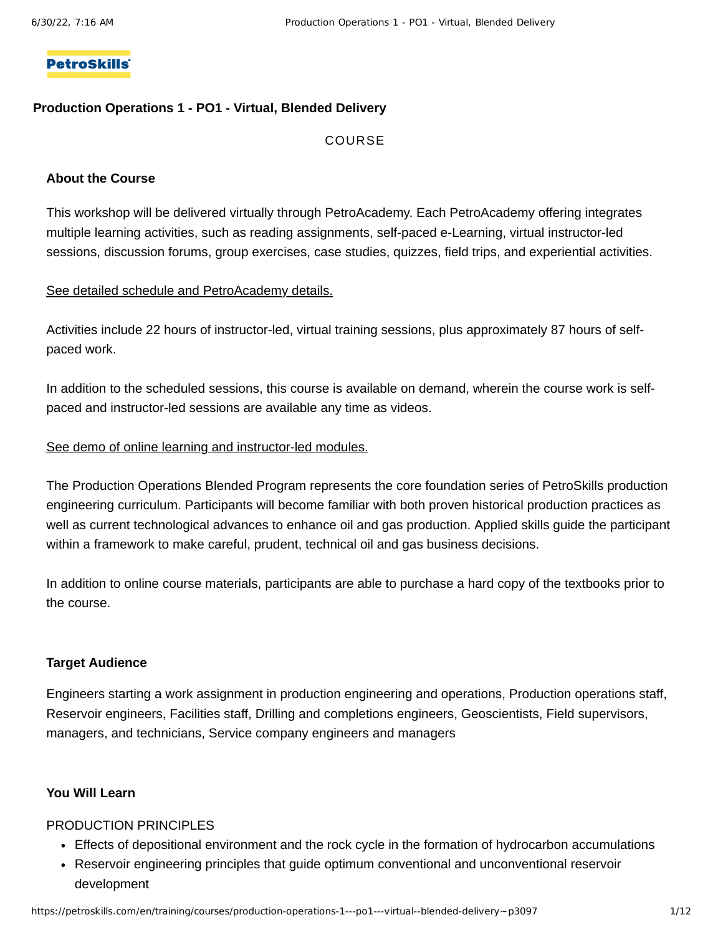#### **PetroSkills**

#### **Production Operations 1 - PO1 - Virtual, Blended Delivery**

#### COURSE

#### **About the Course**

This workshop will be delivered virtually through PetroAcademy. Each PetroAcademy offering integrates multiple learning activities, such as reading assignments, self-paced e-Learning, virtual instructor-led sessions, discussion forums, group exercises, case studies, quizzes, field trips, and experiential activities.

#### See detailed schedule and [PetroAcademy](#page-7-0) details.

Activities include 22 hours of instructor-led, virtual training sessions, plus approximately 87 hours of selfpaced work.

In addition to the scheduled sessions, this course is available on demand, wherein the course work is selfpaced and instructor-led sessions are available any time as videos.

#### See demo of online learning and [instructor-led](https://hosted3.activelearner.com/ActiveLearner/aspx/LearningCenter/Login.aspx?LicCode=petroacademy&EmployeeGUID=8812c1a2-4cca-41e9-8eb6-cad8c06d17b1&RequestedPage=%2fActiveLearner%2faspx%2fLearningCenter%2fLearningCenter.aspx%3fRequestedPage%3d%2fActiveLearner%2fAspx%2fLearningCenter%2fUI_Program%2fProgramDetail.aspx%3fProgramGUID%3d58fd44cd-0ceb-415e-bd6d-5af21e0e32d7%26CourseGUID%3d1cc1dc3f-5bce-4547-bddd-01dc00fd4529) modules.

The Production Operations Blended Program represents the core foundation series of PetroSkills production engineering curriculum. Participants will become familiar with both proven historical production practices as well as current technological advances to enhance oil and gas production. Applied skills guide the participant within a framework to make careful, prudent, technical oil and gas business decisions.

In addition to online course materials, participants are able to purchase a hard copy of the textbooks prior to the course.

#### **Target Audience**

Engineers starting a work assignment in production engineering and operations, Production operations staff, Reservoir engineers, Facilities staff, Drilling and completions engineers, Geoscientists, Field supervisors, managers, and technicians, Service company engineers and managers

#### **You Will Learn**

#### PRODUCTION PRINCIPLES

- Effects of depositional environment and the rock cycle in the formation of hydrocarbon accumulations
- Reservoir engineering principles that guide optimum conventional and unconventional reservoir development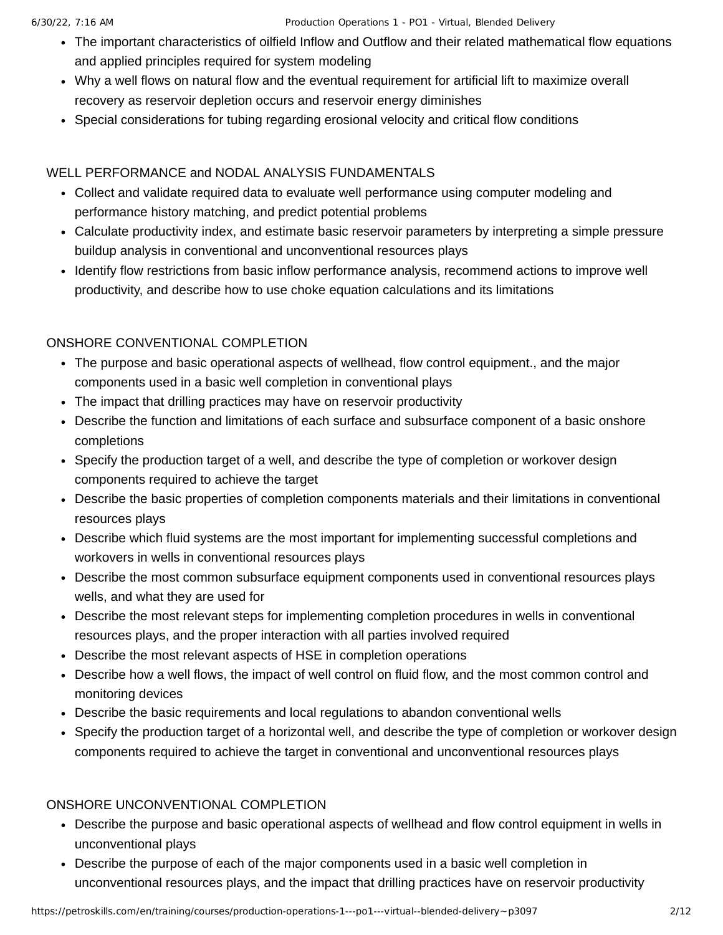- The important characteristics of oilfield Inflow and Outflow and their related mathematical flow equations and applied principles required for system modeling
- Why a well flows on natural flow and the eventual requirement for artificial lift to maximize overall recovery as reservoir depletion occurs and reservoir energy diminishes
- Special considerations for tubing regarding erosional velocity and critical flow conditions

## WELL PERFORMANCE and NODAL ANALYSIS FUNDAMENTALS

- Collect and validate required data to evaluate well performance using computer modeling and performance history matching, and predict potential problems
- Calculate productivity index, and estimate basic reservoir parameters by interpreting a simple pressure buildup analysis in conventional and unconventional resources plays
- Identify flow restrictions from basic inflow performance analysis, recommend actions to improve well productivity, and describe how to use choke equation calculations and its limitations

## ONSHORE CONVENTIONAL COMPLETION

- The purpose and basic operational aspects of wellhead, flow control equipment., and the major components used in a basic well completion in conventional plays
- The impact that drilling practices may have on reservoir productivity
- Describe the function and limitations of each surface and subsurface component of a basic onshore completions
- Specify the production target of a well, and describe the type of completion or workover design components required to achieve the target
- Describe the basic properties of completion components materials and their limitations in conventional resources plays
- Describe which fluid systems are the most important for implementing successful completions and workovers in wells in conventional resources plays
- Describe the most common subsurface equipment components used in conventional resources plays wells, and what they are used for
- Describe the most relevant steps for implementing completion procedures in wells in conventional resources plays, and the proper interaction with all parties involved required
- Describe the most relevant aspects of HSE in completion operations
- Describe how a well flows, the impact of well control on fluid flow, and the most common control and monitoring devices
- Describe the basic requirements and local regulations to abandon conventional wells
- Specify the production target of a horizontal well, and describe the type of completion or workover design components required to achieve the target in conventional and unconventional resources plays

## ONSHORE UNCONVENTIONAL COMPLETION

- Describe the purpose and basic operational aspects of wellhead and flow control equipment in wells in unconventional plays
- Describe the purpose of each of the major components used in a basic well completion in unconventional resources plays, and the impact that drilling practices have on reservoir productivity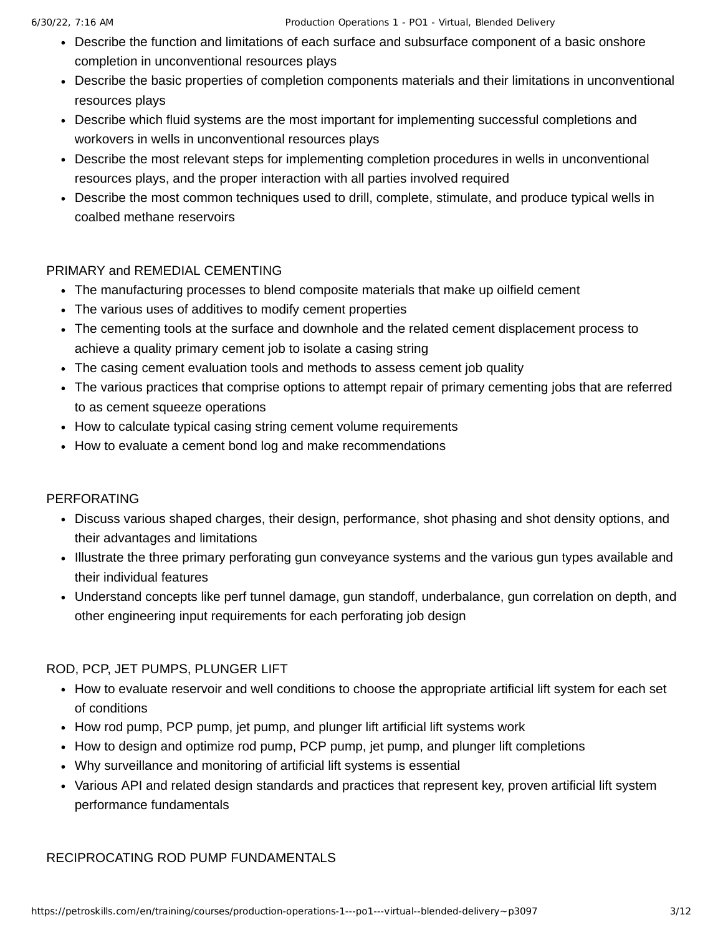- Describe the function and limitations of each surface and subsurface component of a basic onshore completion in unconventional resources plays
- Describe the basic properties of completion components materials and their limitations in unconventional resources plays
- Describe which fluid systems are the most important for implementing successful completions and workovers in wells in unconventional resources plays
- Describe the most relevant steps for implementing completion procedures in wells in unconventional resources plays, and the proper interaction with all parties involved required
- Describe the most common techniques used to drill, complete, stimulate, and produce typical wells in coalbed methane reservoirs

## PRIMARY and REMEDIAL CEMENTING

- The manufacturing processes to blend composite materials that make up oilfield cement
- The various uses of additives to modify cement properties
- The cementing tools at the surface and downhole and the related cement displacement process to achieve a quality primary cement job to isolate a casing string
- The casing cement evaluation tools and methods to assess cement job quality
- The various practices that comprise options to attempt repair of primary cementing jobs that are referred to as cement squeeze operations
- How to calculate typical casing string cement volume requirements
- How to evaluate a cement bond log and make recommendations

## PERFORATING

- Discuss various shaped charges, their design, performance, shot phasing and shot density options, and their advantages and limitations
- Illustrate the three primary perforating gun conveyance systems and the various gun types available and their individual features
- Understand concepts like perf tunnel damage, gun standoff, underbalance, gun correlation on depth, and other engineering input requirements for each perforating job design

## ROD, PCP, JET PUMPS, PLUNGER LIFT

- How to evaluate reservoir and well conditions to choose the appropriate artificial lift system for each set of conditions
- How rod pump, PCP pump, jet pump, and plunger lift artificial lift systems work
- How to design and optimize rod pump, PCP pump, jet pump, and plunger lift completions
- Why surveillance and monitoring of artificial lift systems is essential
- Various API and related design standards and practices that represent key, proven artificial lift system performance fundamentals

## RECIPROCATING ROD PUMP FUNDAMENTALS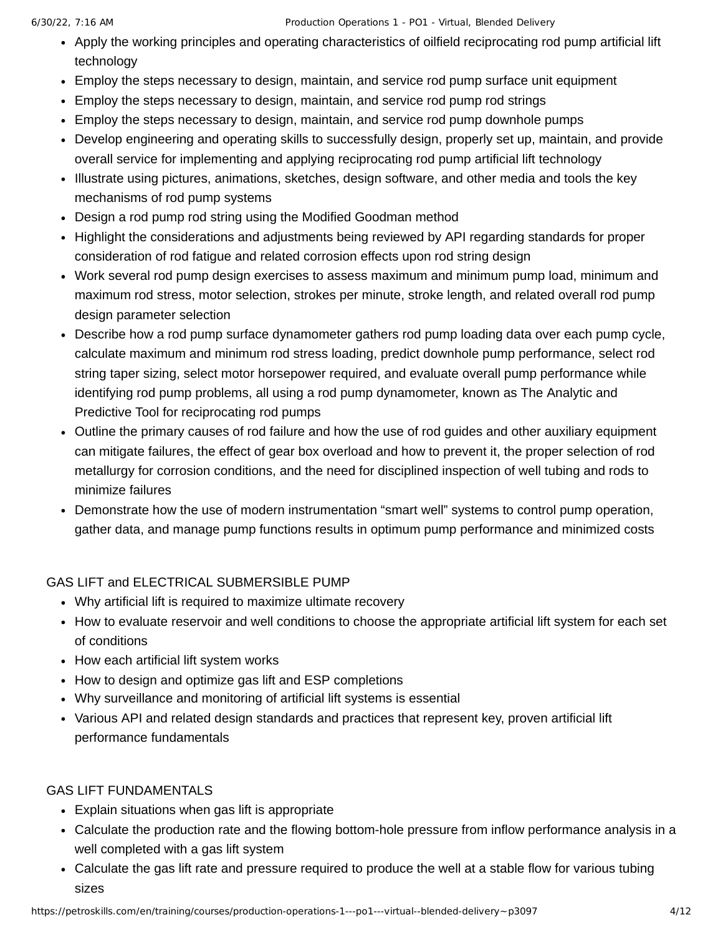#### 6/30/22, 7:16 AM Production Operations 1 - PO1 - Virtual, Blended Delivery

- Apply the working principles and operating characteristics of oilfield reciprocating rod pump artificial lift technology
- Employ the steps necessary to design, maintain, and service rod pump surface unit equipment
- Employ the steps necessary to design, maintain, and service rod pump rod strings
- Employ the steps necessary to design, maintain, and service rod pump downhole pumps
- Develop engineering and operating skills to successfully design, properly set up, maintain, and provide overall service for implementing and applying reciprocating rod pump artificial lift technology
- Illustrate using pictures, animations, sketches, design software, and other media and tools the key mechanisms of rod pump systems
- Design a rod pump rod string using the Modified Goodman method
- Highlight the considerations and adjustments being reviewed by API regarding standards for proper consideration of rod fatigue and related corrosion effects upon rod string design
- Work several rod pump design exercises to assess maximum and minimum pump load, minimum and maximum rod stress, motor selection, strokes per minute, stroke length, and related overall rod pump design parameter selection
- Describe how a rod pump surface dynamometer gathers rod pump loading data over each pump cycle, calculate maximum and minimum rod stress loading, predict downhole pump performance, select rod string taper sizing, select motor horsepower required, and evaluate overall pump performance while identifying rod pump problems, all using a rod pump dynamometer, known as The Analytic and Predictive Tool for reciprocating rod pumps
- Outline the primary causes of rod failure and how the use of rod guides and other auxiliary equipment can mitigate failures, the effect of gear box overload and how to prevent it, the proper selection of rod metallurgy for corrosion conditions, and the need for disciplined inspection of well tubing and rods to minimize failures
- Demonstrate how the use of modern instrumentation "smart well" systems to control pump operation, gather data, and manage pump functions results in optimum pump performance and minimized costs

#### GAS LIFT and ELECTRICAL SUBMERSIBLE PUMP

- Why artificial lift is required to maximize ultimate recovery
- How to evaluate reservoir and well conditions to choose the appropriate artificial lift system for each set of conditions
- How each artificial lift system works
- How to design and optimize gas lift and ESP completions
- Why surveillance and monitoring of artificial lift systems is essential
- Various API and related design standards and practices that represent key, proven artificial lift performance fundamentals

#### GAS LIFT FUNDAMENTALS

- Explain situations when gas lift is appropriate
- Calculate the production rate and the flowing bottom-hole pressure from inflow performance analysis in a well completed with a gas lift system
- Calculate the gas lift rate and pressure required to produce the well at a stable flow for various tubing sizes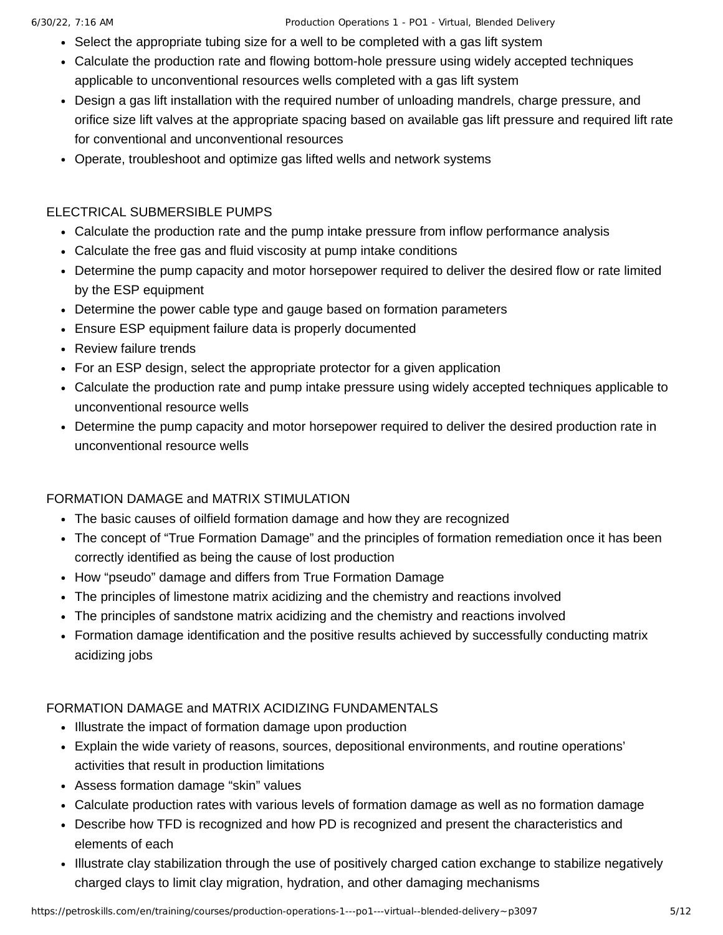- Select the appropriate tubing size for a well to be completed with a gas lift system
- Calculate the production rate and flowing bottom-hole pressure using widely accepted techniques applicable to unconventional resources wells completed with a gas lift system
- Design a gas lift installation with the required number of unloading mandrels, charge pressure, and orifice size lift valves at the appropriate spacing based on available gas lift pressure and required lift rate for conventional and unconventional resources
- Operate, troubleshoot and optimize gas lifted wells and network systems

## ELECTRICAL SUBMERSIBLE PUMPS

- Calculate the production rate and the pump intake pressure from inflow performance analysis
- Calculate the free gas and fluid viscosity at pump intake conditions
- Determine the pump capacity and motor horsepower required to deliver the desired flow or rate limited by the ESP equipment
- Determine the power cable type and gauge based on formation parameters
- Ensure ESP equipment failure data is properly documented
- Review failure trends
- For an ESP design, select the appropriate protector for a given application
- Calculate the production rate and pump intake pressure using widely accepted techniques applicable to unconventional resource wells
- Determine the pump capacity and motor horsepower required to deliver the desired production rate in unconventional resource wells

# FORMATION DAMAGE and MATRIX STIMULATION

- The basic causes of oilfield formation damage and how they are recognized
- The concept of "True Formation Damage" and the principles of formation remediation once it has been correctly identified as being the cause of lost production
- How "pseudo" damage and differs from True Formation Damage
- The principles of limestone matrix acidizing and the chemistry and reactions involved
- The principles of sandstone matrix acidizing and the chemistry and reactions involved
- Formation damage identification and the positive results achieved by successfully conducting matrix acidizing jobs

# FORMATION DAMAGE and MATRIX ACIDIZING FUNDAMENTALS

- Illustrate the impact of formation damage upon production
- Explain the wide variety of reasons, sources, depositional environments, and routine operations' activities that result in production limitations
- Assess formation damage "skin" values
- Calculate production rates with various levels of formation damage as well as no formation damage
- Describe how TFD is recognized and how PD is recognized and present the characteristics and elements of each
- Illustrate clay stabilization through the use of positively charged cation exchange to stabilize negatively charged clays to limit clay migration, hydration, and other damaging mechanisms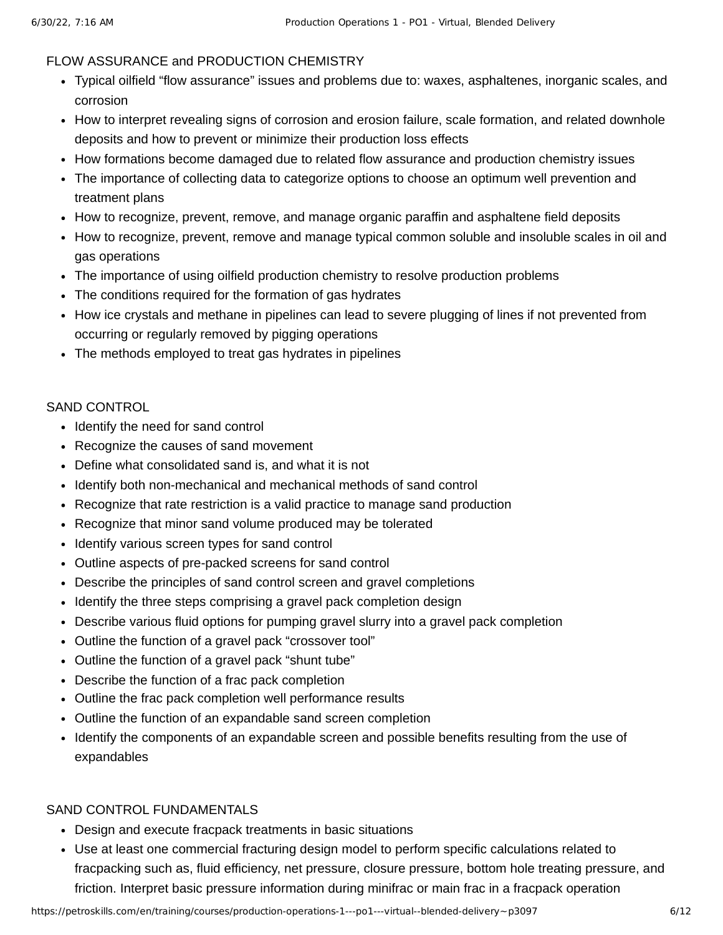#### FLOW ASSURANCE and PRODUCTION CHEMISTRY

- Typical oilfield "flow assurance" issues and problems due to: waxes, asphaltenes, inorganic scales, and corrosion
- How to interpret revealing signs of corrosion and erosion failure, scale formation, and related downhole deposits and how to prevent or minimize their production loss effects
- How formations become damaged due to related flow assurance and production chemistry issues
- The importance of collecting data to categorize options to choose an optimum well prevention and treatment plans
- How to recognize, prevent, remove, and manage organic paraffin and asphaltene field deposits
- How to recognize, prevent, remove and manage typical common soluble and insoluble scales in oil and gas operations
- The importance of using oilfield production chemistry to resolve production problems
- The conditions required for the formation of gas hydrates
- How ice crystals and methane in pipelines can lead to severe plugging of lines if not prevented from occurring or regularly removed by pigging operations
- The methods employed to treat gas hydrates in pipelines

#### SAND CONTROL

- Identify the need for sand control
- Recognize the causes of sand movement
- Define what consolidated sand is, and what it is not
- Identify both non-mechanical and mechanical methods of sand control
- Recognize that rate restriction is a valid practice to manage sand production
- Recognize that minor sand volume produced may be tolerated
- Identify various screen types for sand control
- Outline aspects of pre-packed screens for sand control
- Describe the principles of sand control screen and gravel completions
- Identify the three steps comprising a gravel pack completion design
- Describe various fluid options for pumping gravel slurry into a gravel pack completion
- Outline the function of a gravel pack "crossover tool"
- Outline the function of a gravel pack "shunt tube"
- Describe the function of a frac pack completion
- Outline the frac pack completion well performance results
- Outline the function of an expandable sand screen completion
- Identify the components of an expandable screen and possible benefits resulting from the use of expandables

## SAND CONTROL FUNDAMENTALS

- Design and execute fracpack treatments in basic situations
- Use at least one commercial fracturing design model to perform specific calculations related to fracpacking such as, fluid efficiency, net pressure, closure pressure, bottom hole treating pressure, and friction. Interpret basic pressure information during minifrac or main frac in a fracpack operation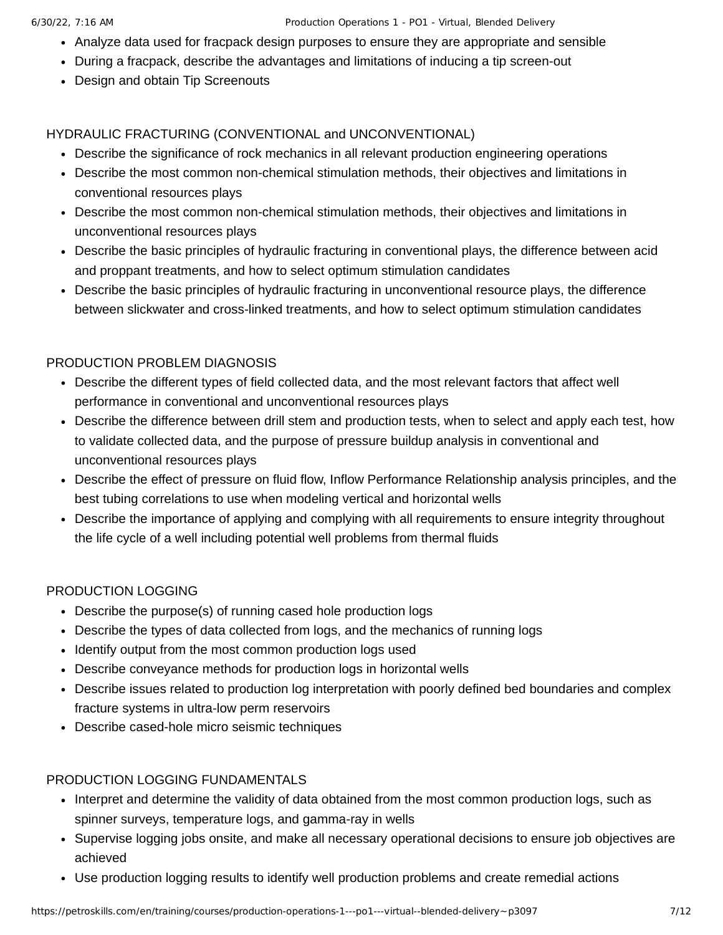- Analyze data used for fracpack design purposes to ensure they are appropriate and sensible
- During a fracpack, describe the advantages and limitations of inducing a tip screen-out
- Design and obtain Tip Screenouts

### HYDRAULIC FRACTURING (CONVENTIONAL and UNCONVENTIONAL)

- Describe the significance of rock mechanics in all relevant production engineering operations
- Describe the most common non-chemical stimulation methods, their objectives and limitations in conventional resources plays
- Describe the most common non-chemical stimulation methods, their objectives and limitations in unconventional resources plays
- Describe the basic principles of hydraulic fracturing in conventional plays, the difference between acid and proppant treatments, and how to select optimum stimulation candidates
- Describe the basic principles of hydraulic fracturing in unconventional resource plays, the difference between slickwater and cross-linked treatments, and how to select optimum stimulation candidates

## PRODUCTION PROBLEM DIAGNOSIS

- Describe the different types of field collected data, and the most relevant factors that affect well performance in conventional and unconventional resources plays
- Describe the difference between drill stem and production tests, when to select and apply each test, how to validate collected data, and the purpose of pressure buildup analysis in conventional and unconventional resources plays
- Describe the effect of pressure on fluid flow, Inflow Performance Relationship analysis principles, and the best tubing correlations to use when modeling vertical and horizontal wells
- Describe the importance of applying and complying with all requirements to ensure integrity throughout the life cycle of a well including potential well problems from thermal fluids

## PRODUCTION LOGGING

- Describe the purpose(s) of running cased hole production logs
- Describe the types of data collected from logs, and the mechanics of running logs
- Identify output from the most common production logs used
- Describe conveyance methods for production logs in horizontal wells
- Describe issues related to production log interpretation with poorly defined bed boundaries and complex fracture systems in ultra-low perm reservoirs
- Describe cased-hole micro seismic techniques

#### PRODUCTION LOGGING FUNDAMENTALS

- Interpret and determine the validity of data obtained from the most common production logs, such as spinner surveys, temperature logs, and gamma-ray in wells
- Supervise logging jobs onsite, and make all necessary operational decisions to ensure job objectives are achieved
- Use production logging results to identify well production problems and create remedial actions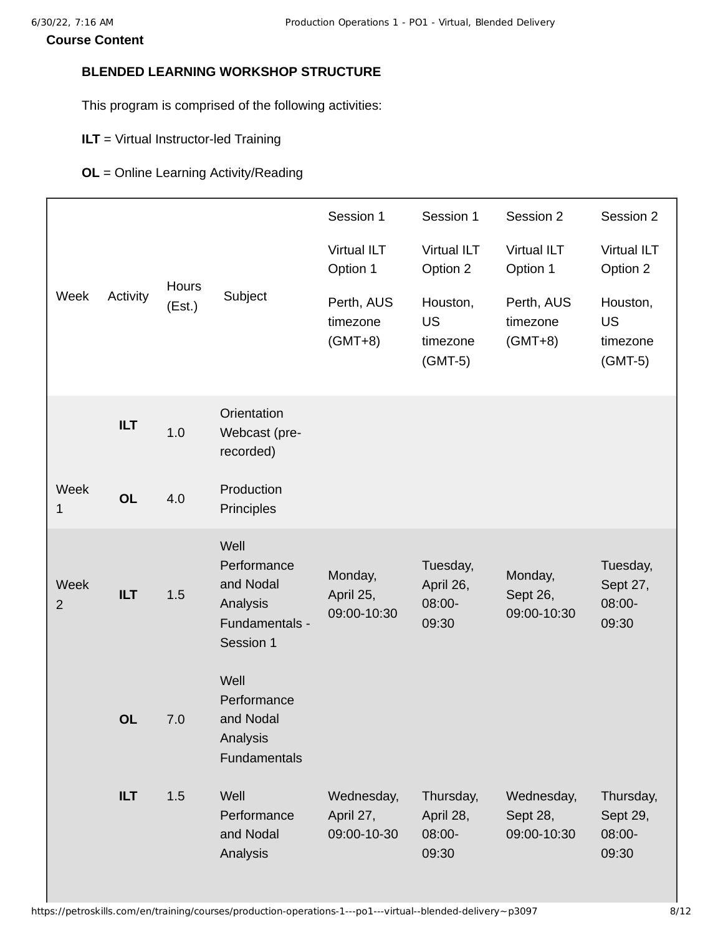### <span id="page-7-0"></span>**BLENDED LEARNING WORKSHOP STRUCTURE**

This program is comprised of the following activities:

- **ILT** = Virtual Instructor-led Training
- **OL** = Online Learning Activity/Reading

|                        |            |                 |                                                                             | Session 1                              | Session 1                                      | Session 2                             | Session 2                                      |
|------------------------|------------|-----------------|-----------------------------------------------------------------------------|----------------------------------------|------------------------------------------------|---------------------------------------|------------------------------------------------|
| Week                   | Activity   | Hours<br>(Est.) | Subject                                                                     | <b>Virtual ILT</b><br>Option 1         | <b>Virtual ILT</b><br>Option 2                 | <b>Virtual ILT</b><br>Option 1        | <b>Virtual ILT</b><br>Option 2                 |
|                        |            |                 |                                                                             | Perth, AUS<br>timezone<br>$(GMT+8)$    | Houston,<br><b>US</b><br>timezone<br>$(GMT-5)$ | Perth, AUS<br>timezone<br>$(GMT+8)$   | Houston,<br><b>US</b><br>timezone<br>$(GMT-5)$ |
|                        | <b>ILT</b> | 1.0             | Orientation<br>Webcast (pre-<br>recorded)                                   |                                        |                                                |                                       |                                                |
| Week<br>1              | <b>OL</b>  | 4.0             | Production<br>Principles                                                    |                                        |                                                |                                       |                                                |
| Week<br>$\overline{2}$ | <b>ILT</b> | 1.5             | Well<br>Performance<br>and Nodal<br>Analysis<br>Fundamentals -<br>Session 1 | Monday,<br>April 25,<br>09:00-10:30    | Tuesday,<br>April 26,<br>08:00-<br>09:30       | Monday,<br>Sept 26,<br>09:00-10:30    | Tuesday,<br>Sept 27,<br>08:00-<br>09:30        |
|                        | <b>OL</b>  | 7.0             | Well<br>Performance<br>and Nodal<br>Analysis<br><b>Fundamentals</b>         |                                        |                                                |                                       |                                                |
|                        | <b>ILT</b> | 1.5             | Well<br>Performance<br>and Nodal<br>Analysis                                | Wednesday,<br>April 27,<br>09:00-10-30 | Thursday,<br>April 28,<br>08:00-<br>09:30      | Wednesday,<br>Sept 28,<br>09:00-10:30 | Thursday,<br>Sept 29,<br>08:00-<br>09:30       |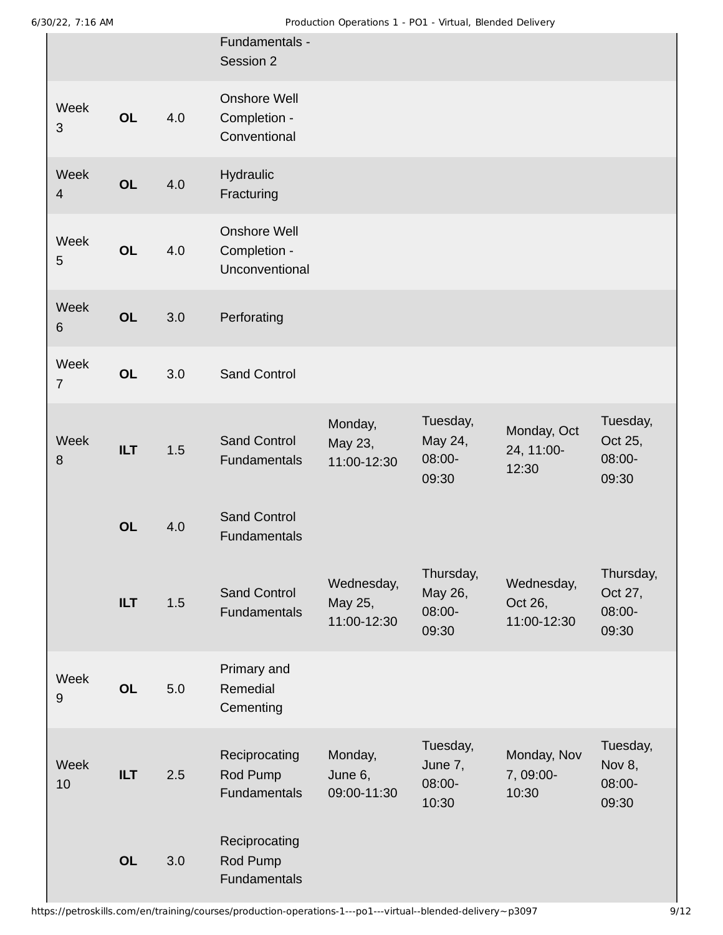|                          |            |     | Fundamentals -<br>Session 2                    |                                      |                                         |                                      |                                         |
|--------------------------|------------|-----|------------------------------------------------|--------------------------------------|-----------------------------------------|--------------------------------------|-----------------------------------------|
| Week<br>3                | <b>OL</b>  | 4.0 | Onshore Well<br>Completion -<br>Conventional   |                                      |                                         |                                      |                                         |
| Week<br>$\overline{4}$   | <b>OL</b>  | 4.0 | Hydraulic<br>Fracturing                        |                                      |                                         |                                      |                                         |
| Week<br>5                | <b>OL</b>  | 4.0 | Onshore Well<br>Completion -<br>Unconventional |                                      |                                         |                                      |                                         |
| Week<br>$\,6\,$          | <b>OL</b>  | 3.0 | Perforating                                    |                                      |                                         |                                      |                                         |
| Week<br>$\overline{7}$   | <b>OL</b>  | 3.0 | Sand Control                                   |                                      |                                         |                                      |                                         |
| Week<br>8                | <b>ILT</b> | 1.5 | <b>Sand Control</b><br>Fundamentals            | Monday,<br>May 23,<br>11:00-12:30    | Tuesday,<br>May 24,<br>08:00-<br>09:30  | Monday, Oct<br>24, 11:00-<br>12:30   | Tuesday,<br>Oct 25,<br>08:00-<br>09:30  |
|                          | <b>OL</b>  | 4.0 | <b>Sand Control</b><br>Fundamentals            |                                      |                                         |                                      |                                         |
|                          | ILT        | 1.5 | <b>Sand Control</b><br>Fundamentals            | Wednesday,<br>May 25,<br>11:00-12:30 | Thursday,<br>May 26,<br>08:00-<br>09:30 | Wednesday,<br>Oct 26,<br>11:00-12:30 | Thursday,<br>Oct 27,<br>08:00-<br>09:30 |
| Week<br>$\boldsymbol{9}$ | <b>OL</b>  | 5.0 | Primary and<br>Remedial<br>Cementing           |                                      |                                         |                                      |                                         |
| Week<br>10               | <b>ILT</b> | 2.5 | Reciprocating<br>Rod Pump<br>Fundamentals      | Monday,<br>June 6,<br>09:00-11:30    | Tuesday,<br>June 7,<br>08:00-<br>10:30  | Monday, Nov<br>7, 09:00-<br>10:30    | Tuesday,<br>Nov 8,<br>08:00-<br>09:30   |
|                          | <b>OL</b>  | 3.0 | Reciprocating<br>Rod Pump<br>Fundamentals      |                                      |                                         |                                      |                                         |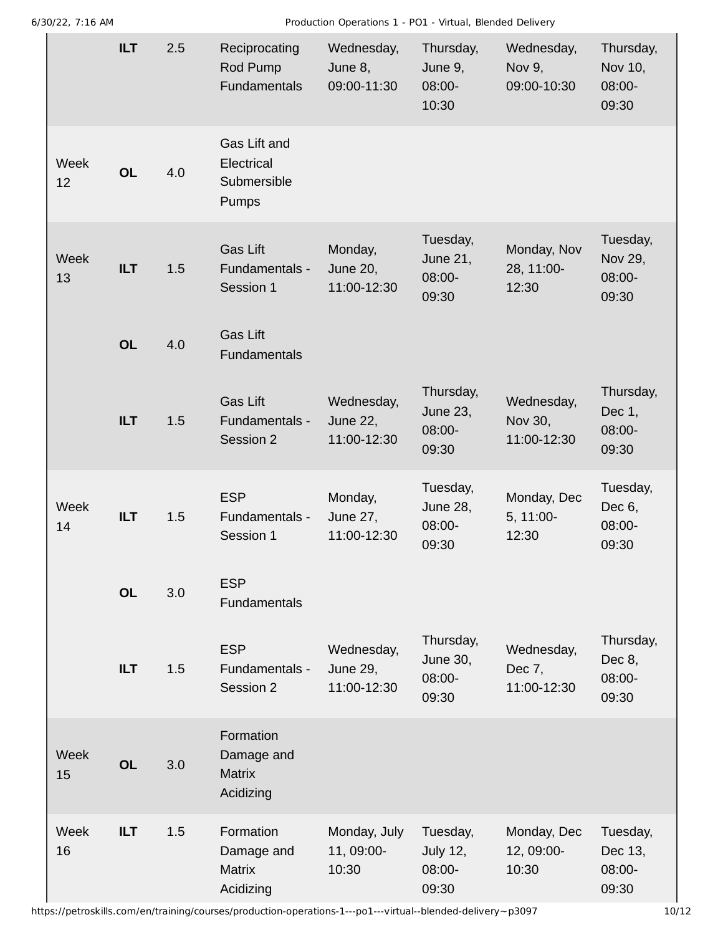6/30/22, 7:16 AM Production Operations 1 - PO1 - Virtual, Blended Delivery

|            | <b>ILT</b> | 2.5 | Reciprocating<br>Rod Pump<br><b>Fundamentals</b>      | Wednesday,<br>June 8,<br>09:00-11:30  | Thursday,<br>June 9,<br>08:00-<br>10:30  | Wednesday,<br>Nov 9,<br>09:00-10:30  | Thursday,<br>Nov 10,<br>08:00-<br>09:30 |
|------------|------------|-----|-------------------------------------------------------|---------------------------------------|------------------------------------------|--------------------------------------|-----------------------------------------|
| Week<br>12 | <b>OL</b>  | 4.0 | Gas Lift and<br>Electrical<br>Submersible<br>Pumps    |                                       |                                          |                                      |                                         |
| Week<br>13 | <b>ILT</b> | 1.5 | <b>Gas Lift</b><br>Fundamentals -<br>Session 1        | Monday,<br>June 20,<br>11:00-12:30    | Tuesday,<br>June 21,<br>08:00-<br>09:30  | Monday, Nov<br>28, 11:00-<br>12:30   | Tuesday,<br>Nov 29,<br>08:00-<br>09:30  |
|            | <b>OL</b>  | 4.0 | Gas Lift<br><b>Fundamentals</b>                       |                                       |                                          |                                      |                                         |
|            | <b>ILT</b> | 1.5 | <b>Gas Lift</b><br>Fundamentals -<br>Session 2        | Wednesday,<br>June 22,<br>11:00-12:30 | Thursday,<br>June 23,<br>08:00-<br>09:30 | Wednesday,<br>Nov 30,<br>11:00-12:30 | Thursday,<br>Dec 1,<br>08:00-<br>09:30  |
|            |            |     |                                                       |                                       |                                          |                                      |                                         |
| Week<br>14 | <b>ILT</b> | 1.5 | <b>ESP</b><br>Fundamentals -<br>Session 1             | Monday,<br>June 27,<br>11:00-12:30    | Tuesday,<br>June 28,<br>08:00-<br>09:30  | Monday, Dec<br>5, 11:00-<br>12:30    | Tuesday,<br>Dec 6,<br>08:00-<br>09:30   |
|            | <b>OL</b>  | 3.0 | <b>ESP</b><br><b>Fundamentals</b>                     |                                       |                                          |                                      |                                         |
|            | <b>ILT</b> | 1.5 | <b>ESP</b><br>Fundamentals -<br>Session 2             | Wednesday,<br>June 29,<br>11:00-12:30 | Thursday,<br>June 30,<br>08:00-<br>09:30 | Wednesday,<br>Dec 7,<br>11:00-12:30  | Thursday,<br>Dec 8,<br>08:00-<br>09:30  |
| Week<br>15 | <b>OL</b>  | 3.0 | Formation<br>Damage and<br><b>Matrix</b><br>Acidizing |                                       |                                          |                                      |                                         |

https://petroskills.com/en/training/courses/production-operations-1---po1---virtual--blended-delivery~p3097 10/12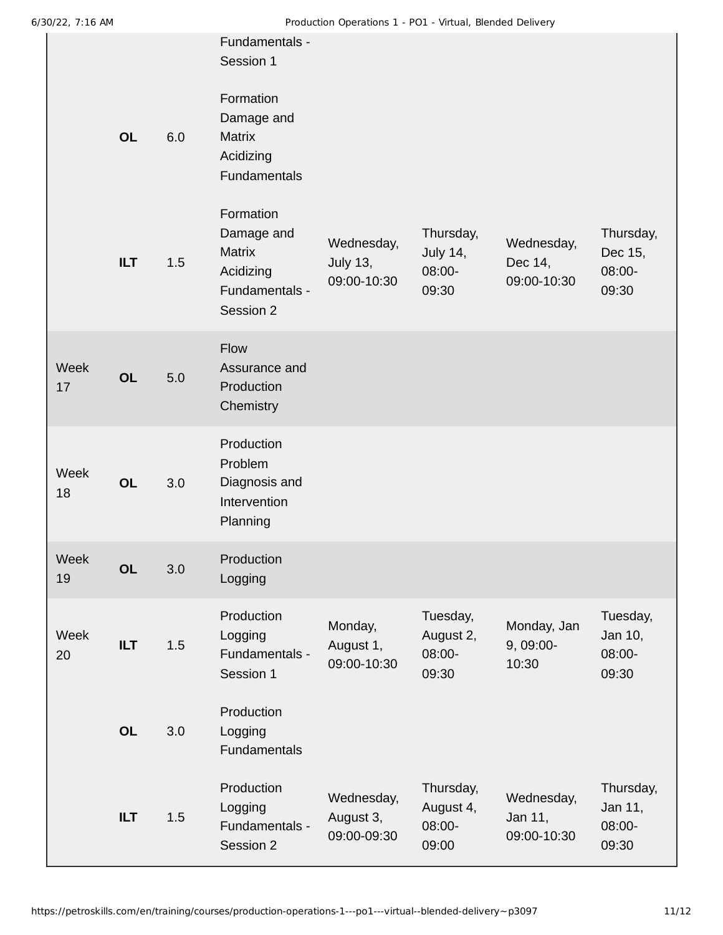| ויות טב. <i>ו</i> ונגע |            |     |                                                                                                      | Troudcabil Operations I - TOI - Virtual, Dienued Delivery |                                           |                                      |                                         |
|------------------------|------------|-----|------------------------------------------------------------------------------------------------------|-----------------------------------------------------------|-------------------------------------------|--------------------------------------|-----------------------------------------|
|                        | <b>OL</b>  | 6.0 | Fundamentals -<br>Session 1<br>Formation<br>Damage and<br><b>Matrix</b><br>Acidizing<br>Fundamentals |                                                           |                                           |                                      |                                         |
|                        | <b>ILT</b> | 1.5 | Formation<br>Damage and<br><b>Matrix</b><br>Acidizing<br>Fundamentals -<br>Session 2                 | Wednesday,<br>July 13,<br>09:00-10:30                     | Thursday,<br>July 14,<br>08:00-<br>09:30  | Wednesday,<br>Dec 14,<br>09:00-10:30 | Thursday,<br>Dec 15,<br>08:00-<br>09:30 |
| Week<br>17             | <b>OL</b>  | 5.0 | Flow<br>Assurance and<br>Production<br>Chemistry                                                     |                                                           |                                           |                                      |                                         |
| Week<br>18             | <b>OL</b>  | 3.0 | Production<br>Problem<br>Diagnosis and<br>Intervention<br>Planning                                   |                                                           |                                           |                                      |                                         |
| Week<br>19             | <b>OL</b>  | 3.0 | Production<br>Logging                                                                                |                                                           |                                           |                                      |                                         |
| Week<br>20             | <b>ILT</b> | 1.5 | Production<br>Logging<br>Fundamentals -<br>Session 1                                                 | Monday,<br>August 1,<br>09:00-10:30                       | Tuesday,<br>August 2,<br>08:00-<br>09:30  | Monday, Jan<br>9, 09:00-<br>10:30    | Tuesday,<br>Jan 10,<br>08:00-<br>09:30  |
|                        | <b>OL</b>  | 3.0 | Production<br>Logging<br>Fundamentals                                                                |                                                           |                                           |                                      |                                         |
|                        | <b>ILT</b> | 1.5 | Production<br>Logging<br>Fundamentals -<br>Session 2                                                 | Wednesday,<br>August 3,<br>09:00-09:30                    | Thursday,<br>August 4,<br>08:00-<br>09:00 | Wednesday,<br>Jan 11,<br>09:00-10:30 | Thursday,<br>Jan 11,<br>08:00-<br>09:30 |